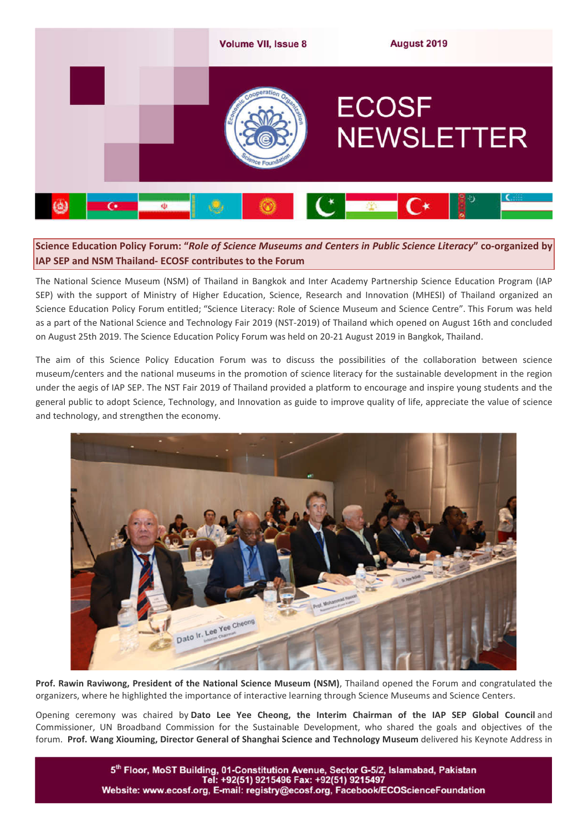

# **Science Education Policy Forum: "***Role of Science Museums and Centers in Public Science Literacy***" co-organized by IAP SEP and NSM Thailand- ECOSF contributes to the Forum**

The National Science Museum (NSM) of Thailand in Bangkok and Inter Academy Partnership Science Education Program (IAP SEP) with the support of Ministry of Higher Education, Science, Research and Innovation (MHESI) of Thailand organized an Science Education Policy Forum entitled; "Science Literacy: Role of Science Museum and Science Centre". This Forum was held as a part of the National Science and Technology Fair 2019 (NST-2019) of Thailand which opened on August 16th and concluded on August 25th 2019. The Science Education Policy Forum was held on 20-21 August 2019 in Bangkok, Thailand.

The aim of this Science Policy Education Forum was to discuss the possibilities of the collaboration between science museum/centers and the national museums in the promotion of science literacy for the sustainable development in the region under the aegis of IAP SEP. The NST Fair 2019 of Thailand provided a platform to encourage and inspire young students and the general public to adopt Science, Technology, and Innovation as guide to improve quality of life, appreciate the value of science and technology, and strengthen the economy.



**Prof. Rawin Raviwong, President of the National Science Museum (NSM)**, Thailand opened the Forum and congratulated the organizers, where he highlighted the importance of interactive learning through Science Museums and Science Centers.

Opening ceremony was chaired by **Dato Lee Yee Cheong, the Interim Chairman of the IAP SEP Global Council** and Commissioner, UN Broadband Commission for the Sustainable Development, who shared the goals and objectives of the forum. **Prof. Wang Xiouming, Director General of Shanghai Science and Technology Museum** delivered his Keynote Address in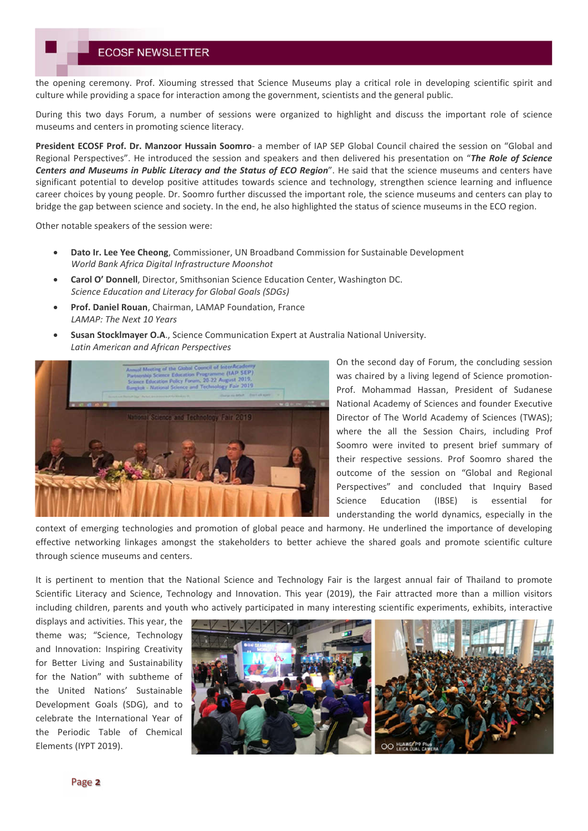the opening ceremony. Prof. Xiouming stressed that Science Museums play a critical role in developing scientific spirit and culture while providing a space for interaction among the government, scientists and the general public.

During this two days Forum, a number of sessions were organized to highlight and discuss the important role of science museums and centers in promoting science literacy.

**President ECOSF Prof. Dr. Manzoor Hussain Soomro**- a member of IAP SEP Global Council chaired the session on "Global and Regional Perspectives". He introduced the session and speakers and then delivered his presentation on "*The Role of Science Centers and Museums in Public Literacy and the Status of ECO Region*". He said that the science museums and centers have significant potential to develop positive attitudes towards science and technology, strengthen science learning and influence career choices by young people. Dr. Soomro further discussed the important role, the science museums and centers can play to bridge the gap between science and society. In the end, he also highlighted the status of science museums in the ECO region.

Other notable speakers of the session were:

- **Dato Ir. Lee Yee Cheong**, Commissioner, UN Broadband Commission for Sustainable Development *World Bank Africa Digital Infrastructure Moonshot*
- **Carol O' Donnell**, Director, Smithsonian Science Education Center, Washington DC. *Science Education and Literacy for Global Goals (SDGs)*
- **Prof. Daniel Rouan**, Chairman, LAMAP Foundation, France *LAMAP: The Next 10 Years*
- **Susan Stocklmayer O.A**., Science Communication Expert at Australia National University. *Latin American and African Perspectives*



On the second day of Forum, the concluding session was chaired by a living legend of Science promotion-Prof. Mohammad Hassan, President of Sudanese National Academy of Sciences and founder Executive Director of The World Academy of Sciences (TWAS); where the all the Session Chairs, including Prof Soomro were invited to present brief summary of their respective sessions. Prof Soomro shared the outcome of the session on "Global and Regional Perspectives" and concluded that Inquiry Based Science Education (IBSE) is essential for understanding the world dynamics, especially in the

context of emerging technologies and promotion of global peace and harmony. He underlined the importance of developing effective networking linkages amongst the stakeholders to better achieve the shared goals and promote scientific culture through science museums and centers.

It is pertinent to mention that the National Science and Technology Fair is the largest annual fair of Thailand to promote Scientific Literacy and Science, Technology and Innovation. This year (2019), the Fair attracted more than a million visitors including children, parents and youth who actively participated in many interesting scientific experiments, exhibits, interactive

displays and activities. This year, the theme was; "Science, Technology and Innovation: Inspiring Creativity for Better Living and Sustainability for the Nation" with subtheme of the United Nations' Sustainable Development Goals (SDG), and to celebrate the International Year of the Periodic Table of Chemical Elements (IYPT 2019).

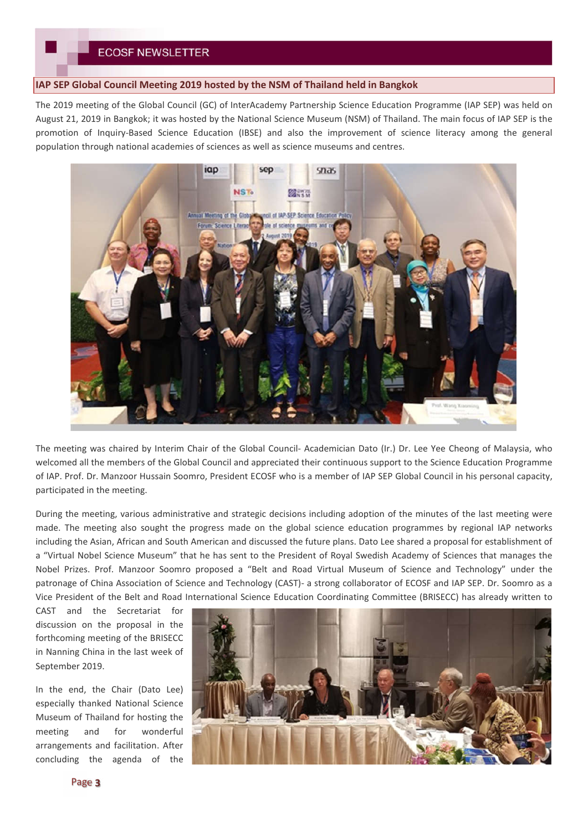### **IAP SEP Global Council Meeting 2019 hosted by the NSM of Thailand held in Bangkok**

The 2019 meeting of the Global Council (GC) of InterAcademy Partnership Science Education Programme (IAP SEP) was held on August 21, 2019 in Bangkok; it was hosted by the National Science Museum (NSM) of Thailand. The main focus of IAP SEP is the promotion of Inquiry-Based Science Education (IBSE) and also the improvement of science literacy among the general population through national academies of sciences as well as science museums and centres.



The meeting was chaired by Interim Chair of the Global Council- Academician Dato (Ir.) Dr. Lee Yee Cheong of Malaysia, who welcomed all the members of the Global Council and appreciated their continuous support to the Science Education Programme of IAP. Prof. Dr. Manzoor Hussain Soomro, President ECOSF who is a member of IAP SEP Global Council in his personal capacity, participated in the meeting.

During the meeting, various administrative and strategic decisions including adoption of the minutes of the last meeting were made. The meeting also sought the progress made on the global science education programmes by regional IAP networks including the Asian, African and South American and discussed the future plans. Dato Lee shared a proposal for establishment of a "Virtual Nobel Science Museum" that he has sent to the President of Royal Swedish Academy of Sciences that manages the Nobel Prizes. Prof. Manzoor Soomro proposed a "Belt and Road Virtual Museum of Science and Technology" under the patronage of China Association of Science and Technology (CAST)- a strong collaborator of ECOSF and IAP SEP. Dr. Soomro as a Vice President of the Belt and Road International Science Education Coordinating Committee (BRISECC) has already written to

CAST and the Secretariat for discussion on the proposal in the forthcoming meeting of the BRISECC in Nanning China in the last week of September 2019.

In the end, the Chair (Dato Lee) especially thanked National Science Museum of Thailand for hosting the meeting and for wonderful arrangements and facilitation. After concluding the agenda of the

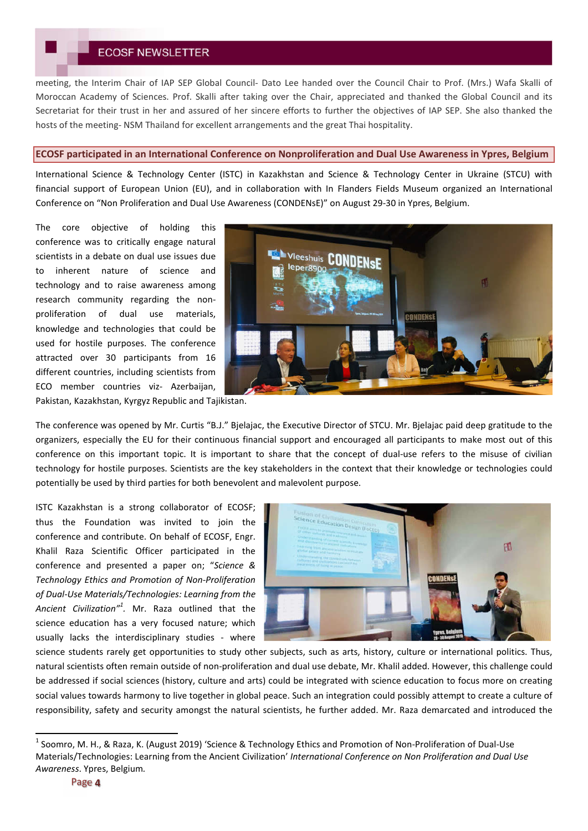## **ECOSF NEWSLETTER**

meeting, the Interim Chair of IAP SEP Global Council- Dato Lee handed over the Council Chair to Prof. (Mrs.) Wafa Skalli of Moroccan Academy of Sciences. Prof. Skalli after taking over the Chair, appreciated and thanked the Global Council and its Secretariat for their trust in her and assured of her sincere efforts to further the objectives of IAP SEP. She also thanked the hosts of the meeting- NSM Thailand for excellent arrangements and the great Thai hospitality.

#### **ECOSF participated in an International Conference on Nonproliferation and Dual Use Awareness in Ypres, Belgium**

International Science & Technology Center (ISTC) in Kazakhstan and Science & Technology Center in Ukraine (STCU) with financial support of European Union (EU), and in collaboration with In Flanders Fields Museum organized an International Conference on "Non Proliferation and Dual Use Awareness (CONDENsE)" on August 29-30 in Ypres, Belgium.

The core objective of holding this conference was to critically engage natural scientists in a debate on dual use issues due to inherent nature of science and technology and to raise awareness among research community regarding the nonproliferation of dual use materials, knowledge and technologies that could be used for hostile purposes. The conference attracted over 30 participants from 16 different countries, including scientists from ECO member countries viz- Azerbaijan,



Pakistan, Kazakhstan, Kyrgyz Republic and Tajikistan.

The conference was opened by Mr. Curtis "B.J." Bjelajac, the Executive Director of STCU. Mr. Bjelajac paid deep gratitude to the organizers, especially the EU for their continuous financial support and encouraged all participants to make most out of this conference on this important topic. It is important to share that the concept of dual-use refers to the misuse of civilian technology for hostile purposes. Scientists are the key stakeholders in the context that their knowledge or technologies could potentially be used by third parties for both benevolent and malevolent purpose.

ISTC Kazakhstan is a strong collaborator of ECOSF; thus the Foundation was invited to join the conference and contribute. On behalf of ECOSF, Engr. Khalil Raza Scientific Officer participated in the conference and presented a paper on; "*Science & Technology Ethics and Promotion of Non-Proliferation of Dual-Use Materials/Technologies: Learning from the Ancient Civilization"<sup>1</sup> .* Mr. Raza outlined that the science education has a very focused nature; which usually lacks the interdisciplinary studies - where



science students rarely get opportunities to study other subjects, such as arts, history, culture or international politics. Thus, natural scientists often remain outside of non-proliferation and dual use debate, Mr. Khalil added. However, this challenge could be addressed if social sciences (history, culture and arts) could be integrated with science education to focus more on creating social values towards harmony to live together in global peace. Such an integration could possibly attempt to create a culture of responsibility, safety and security amongst the natural scientists, he further added. Mr. Raza demarcated and introduced the

 <sup>1</sup> Soomro, M. H., & Raza, K. (August 2019) 'Science & Technology Ethics and Promotion of Non-Proliferation of Dual-Use Materials/Technologies: Learning from the Ancient Civilization' *International Conference on Non Proliferation and Dual Use Awareness*. Ypres, Belgium*.*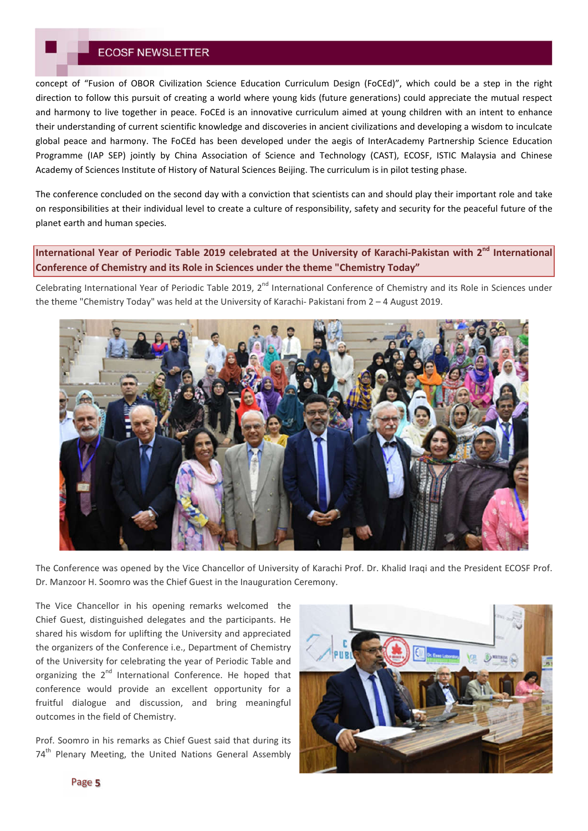## **ECOSF NEWSLETTER**

concept of "Fusion of OBOR Civilization Science Education Curriculum Design (FoCEd)", which could be a step in the right direction to follow this pursuit of creating a world where young kids (future generations) could appreciate the mutual respect and harmony to live together in peace. FoCEd is an innovative curriculum aimed at young children with an intent to enhance their understanding of current scientific knowledge and discoveries in ancient civilizations and developing a wisdom to inculcate global peace and harmony. The FoCEd has been developed under the aegis of InterAcademy Partnership Science Education Programme (IAP SEP) jointly by China Association of Science and Technology (CAST), ECOSF, ISTIC Malaysia and Chinese Academy of Sciences Institute of History of Natural Sciences Beijing. The curriculum is in pilot testing phase.

The conference concluded on the second day with a conviction that scientists can and should play their important role and take on responsibilities at their individual level to create a culture of responsibility, safety and security for the peaceful future of the planet earth and human species.

**International Year of Periodic Table 2019 celebrated at the University of Karachi-Pakistan with 2nd International Conference of Chemistry and its Role in Sciences under the theme "Chemistry Today"**

Celebrating International Year of Periodic Table 2019, 2<sup>nd</sup> International Conference of Chemistry and its Role in Sciences under the theme "Chemistry Today" was held at the University of Karachi- Pakistani from 2 – 4 August 2019.



The Conference was opened by the Vice Chancellor of University of Karachi Prof. Dr. Khalid Iraqi and the President ECOSF Prof. Dr. Manzoor H. Soomro was the Chief Guest in the Inauguration Ceremony.

The Vice Chancellor in his opening remarks welcomed the Chief Guest, distinguished delegates and the participants. He shared his wisdom for uplifting the University and appreciated the organizers of the Conference i.e., Department of Chemistry of the University for celebrating the year of Periodic Table and organizing the 2<sup>nd</sup> International Conference. He hoped that conference would provide an excellent opportunity for a fruitful dialogue and discussion, and bring meaningful outcomes in the field of Chemistry.

Prof. Soomro in his remarks as Chief Guest said that during its 74<sup>th</sup> Plenary Meeting, the United Nations General Assembly

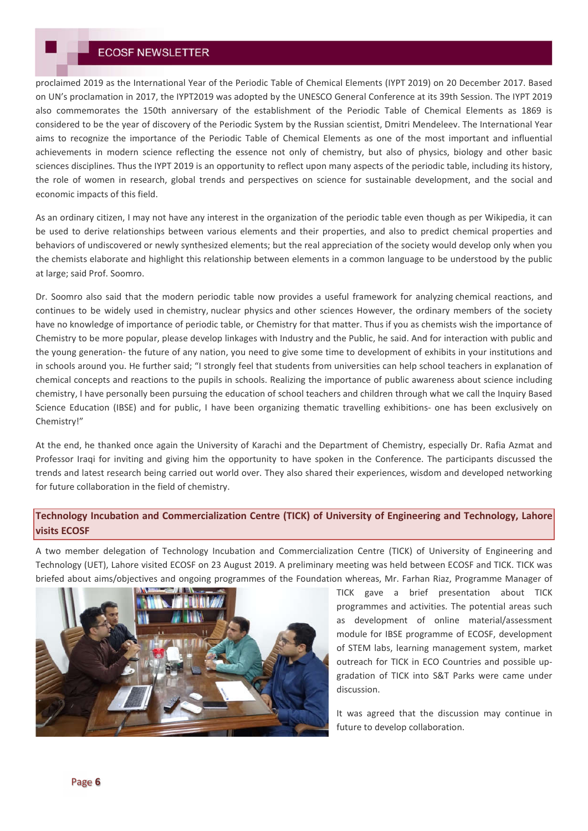proclaimed 2019 as the International Year of the Periodic Table of Chemical Elements (IYPT 2019) on 20 December 2017. Based on UN's proclamation in 2017, the IYPT2019 was adopted by the UNESCO General Conference at its 39th Session. The IYPT 2019 also commemorates the 150th anniversary of the establishment of the Periodic Table of Chemical Elements as 1869 is considered to be the year of discovery of the Periodic System by the Russian scientist, Dmitri Mendeleev. The International Year aims to recognize the importance of the Periodic Table of Chemical Elements as one of the most important and influential achievements in modern science reflecting the essence not only of chemistry, but also of physics, biology and other basic sciences disciplines. Thus the IYPT 2019 is an opportunity to reflect upon many aspects of the periodic table, including its history, the role of women in research, global trends and perspectives on science for sustainable development, and the social and economic impacts of this field.

As an ordinary citizen, I may not have any interest in the organization of the periodic table even though as per Wikipedia, it can be used to derive relationships between various elements and their properties, and also to predict chemical properties and behaviors of undiscovered or newly synthesized elements; but the real appreciation of the society would develop only when you the chemists elaborate and highlight this relationship between elements in a common language to be understood by the public at large; said Prof. Soomro.

Dr. Soomro also said that the modern periodic table now provides a useful framework for analyzing chemical reactions, and continues to be widely used in chemistry, nuclear physics and other sciences However, the ordinary members of the society have no knowledge of importance of periodic table, or Chemistry for that matter. Thus if you as chemists wish the importance of Chemistry to be more popular, please develop linkages with Industry and the Public, he said. And for interaction with public and the young generation- the future of any nation, you need to give some time to development of exhibits in your institutions and in schools around you. He further said; "I strongly feel that students from universities can help school teachers in explanation of chemical concepts and reactions to the pupils in schools. Realizing the importance of public awareness about science including chemistry, I have personally been pursuing the education of school teachers and children through what we call the Inquiry Based Science Education (IBSE) and for public, I have been organizing thematic travelling exhibitions- one has been exclusively on Chemistry!"

At the end, he thanked once again the University of Karachi and the Department of Chemistry, especially Dr. Rafia Azmat and Professor Iraqi for inviting and giving him the opportunity to have spoken in the Conference. The participants discussed the trends and latest research being carried out world over. They also shared their experiences, wisdom and developed networking for future collaboration in the field of chemistry.

## **Technology Incubation and Commercialization Centre (TICK) of University of Engineering and Technology, Lahore visits ECOSF**

A two member delegation of Technology Incubation and Commercialization Centre (TICK) of University of Engineering and Technology (UET), Lahore visited ECOSF on 23 August 2019. A preliminary meeting was held between ECOSF and TICK. TICK was briefed about aims/objectives and ongoing programmes of the Foundation whereas, Mr. Farhan Riaz, Programme Manager of



TICK gave a brief presentation about TICK programmes and activities. The potential areas such as development of online material/assessment module for IBSE programme of ECOSF, development of STEM labs, learning management system, market outreach for TICK in ECO Countries and possible upgradation of TICK into S&T Parks were came under discussion.

It was agreed that the discussion may continue in future to develop collaboration.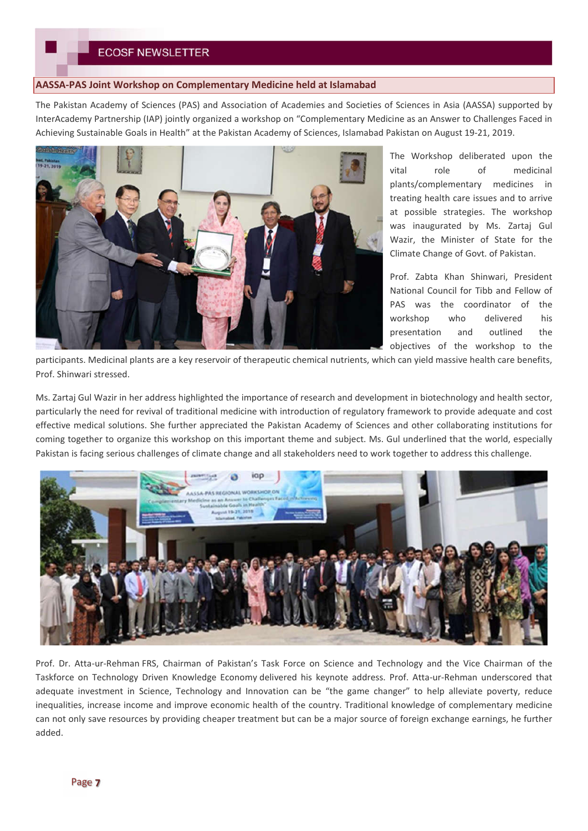# **ECOSF NEWSLETTER**

### **AASSA-PAS Joint Workshop on Complementary Medicine held at Islamabad**

The Pakistan Academy of Sciences (PAS) and Association of Academies and Societies of Sciences in Asia (AASSA) supported by InterAcademy Partnership (IAP) jointly organized a workshop on "Complementary Medicine as an Answer to Challenges Faced in Achieving Sustainable Goals in Health" at the Pakistan Academy of Sciences, Islamabad Pakistan on August 19-21, 2019.



The Workshop deliberated upon the vital role of medicinal plants/complementary medicines in treating health care issues and to arrive at possible strategies. The workshop was inaugurated by Ms. Zartaj Gul Wazir, the Minister of State for the Climate Change of Govt. of Pakistan.

Prof. Zabta Khan Shinwari, President National Council for Tibb and Fellow of PAS was the coordinator of the workshop who delivered his presentation and outlined the objectives of the workshop to the

participants. Medicinal plants are a key reservoir of therapeutic chemical nutrients, which can yield massive health care benefits, Prof. Shinwari stressed.

Ms. Zartaj Gul Wazir in her address highlighted the importance of research and development in biotechnology and health sector, particularly the need for revival of traditional medicine with introduction of regulatory framework to provide adequate and cost effective medical solutions. She further appreciated the Pakistan Academy of Sciences and other collaborating institutions for coming together to organize this workshop on this important theme and subject. Ms. Gul underlined that the world, especially Pakistan is facing serious challenges of climate change and all stakeholders need to work together to address this challenge.



Prof. Dr. Atta-ur-Rehman FRS, Chairman of Pakistan's Task Force on Science and Technology and the Vice Chairman of the Taskforce on Technology Driven Knowledge Economy delivered his keynote address. Prof. Atta-ur-Rehman underscored that adequate investment in Science, Technology and Innovation can be "the game changer" to help alleviate poverty, reduce inequalities, increase income and improve economic health of the country. Traditional knowledge of complementary medicine can not only save resources by providing cheaper treatment but can be a major source of foreign exchange earnings, he further added.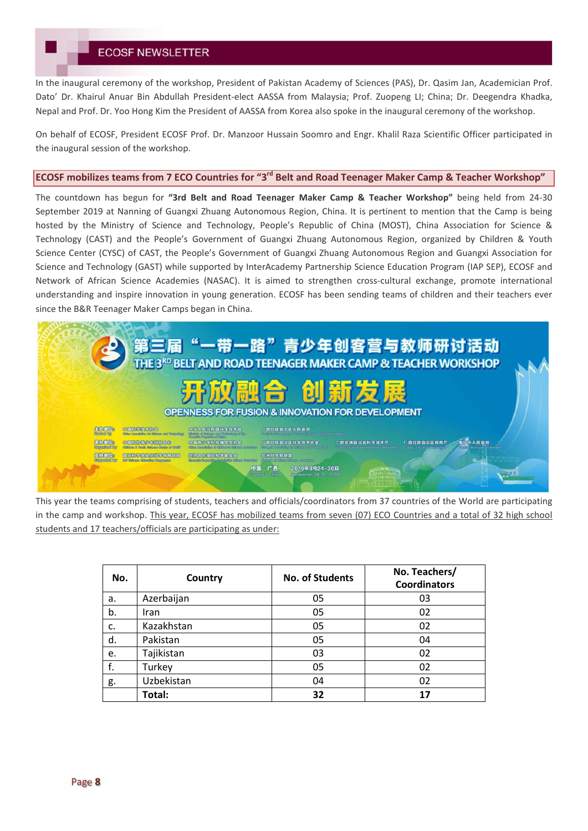In the inaugural ceremony of the workshop, President of Pakistan Academy of Sciences (PAS), Dr. Qasim Jan, Academician Prof. Dato' Dr. Khairul Anuar Bin Abdullah President-elect AASSA from Malaysia; Prof. Zuopeng LI; China; Dr. Deegendra Khadka, Nepal and Prof. Dr. Yoo Hong Kim the President of AASSA from Korea also spoke in the inaugural ceremony of the workshop.

On behalf of ECOSF, President ECOSF Prof. Dr. Manzoor Hussain Soomro and Engr. Khalil Raza Scientific Officer participated in the inaugural session of the workshop.

### **ECOSF mobilizes teams from 7 ECO Countries for "3rd Belt and Road Teenager Maker Camp & Teacher Workshop"**

The countdown has begun for **"3rd Belt and Road Teenager Maker Camp & Teacher Workshop"** being held from 24-30 September 2019 at Nanning of Guangxi Zhuang Autonomous Region, China. It is pertinent to mention that the Camp is being hosted by the Ministry of Science and Technology, People's Republic of China (MOST), China Association for Science & Technology (CAST) and the People's Government of Guangxi Zhuang Autonomous Region, organized by Children & Youth Science Center (CYSC) of CAST, the People's Government of Guangxi Zhuang Autonomous Region and Guangxi Association for Science and Technology (GAST) while supported by InterAcademy Partnership Science Education Program (IAP SEP), ECOSF and Network of African Science Academies (NASAC). It is aimed to strengthen cross-cultural exchange, promote international understanding and inspire innovation in young generation. ECOSF has been sending teams of children and their teachers ever since the B&R Teenager Maker Camps began in China.

| 第三届"一带一路"青少年创客营与教师研讨活动                                                                                                                                                                                                                                                                                                                                                                                                                                                                                                                                                                                                                                                                                                                                                                                                                                                     |  |
|----------------------------------------------------------------------------------------------------------------------------------------------------------------------------------------------------------------------------------------------------------------------------------------------------------------------------------------------------------------------------------------------------------------------------------------------------------------------------------------------------------------------------------------------------------------------------------------------------------------------------------------------------------------------------------------------------------------------------------------------------------------------------------------------------------------------------------------------------------------------------|--|
| 开放融合 创新发展<br><b>OPENNESS FOR FUSION &amp; INNOVATION FOR DEVELOPMENT</b>                                                                                                                                                                                                                                                                                                                                                                                                                                                                                                                                                                                                                                                                                                                                                                                                   |  |
| 主办单位<br>中国服务组成协会<br>中华人民共和国科学技术部<br>广西壮族自治区人民政府<br>Historical Bay<br>Olden Annotation for Orden or and Modernberg<br>WILL BY COMMAND TO HAVEN ANDER SHOPPING WATER<br>White of this are the Unionity of the<br>示我通信<br>商品市人民政府<br>(中国語情報機の自)用語(ind)<br>中国市少年科技研究后协会<br>广西社族自治区教育厅<br>广西社族自治区科学技术协会<br>广西壮族自治区科学技术厅<br><b>Exemplace By</b><br>Gliddess & Worlds Abiltonics October of Child's<br>when the alleged to the constitution of the<br>Guarge Education discovered<br><b>CARDINAL MARGARETAN COMPOSITION</b><br>Grange Miles is well formally Department<br>支持单位。<br><b>假除合作组织科学基金会</b><br><b>重味和学院组织和学的身项目</b><br>非洲科学院联盟<br>thusing all these infrastructure.<br><b>WP Industry Stateston Programmes</b><br>Brands Report Realized and Silver, Angly Re<br><b>Busported By</b><br>中国 · 广西<br>2019年9月24-30日<br>进进<br>September 24-30 2019<br><b>Buancer China</b> |  |

This year the teams comprising of students, teachers and officials/coordinators from 37 countries of the World are participating in the camp and workshop. This year, ECOSF has mobilized teams from seven (07) ECO Countries and a total of 32 high school students and 17 teachers/officials are participating as under:

| No. | Country     | No. of Students | No. Teachers/<br><b>Coordinators</b> |
|-----|-------------|-----------------|--------------------------------------|
| a.  | Azerbaijan  | 05              | 03                                   |
| b.  | <b>Iran</b> | 05              | 02                                   |
| c.  | Kazakhstan  | 05              | 02                                   |
| d.  | Pakistan    | 05              | 04                                   |
| e.  | Tajikistan  | 03              | 02                                   |
| f.  | Turkey      | 05              | 02                                   |
| g.  | Uzbekistan  | 04              | 02                                   |
|     | Total:      | 32              | 17                                   |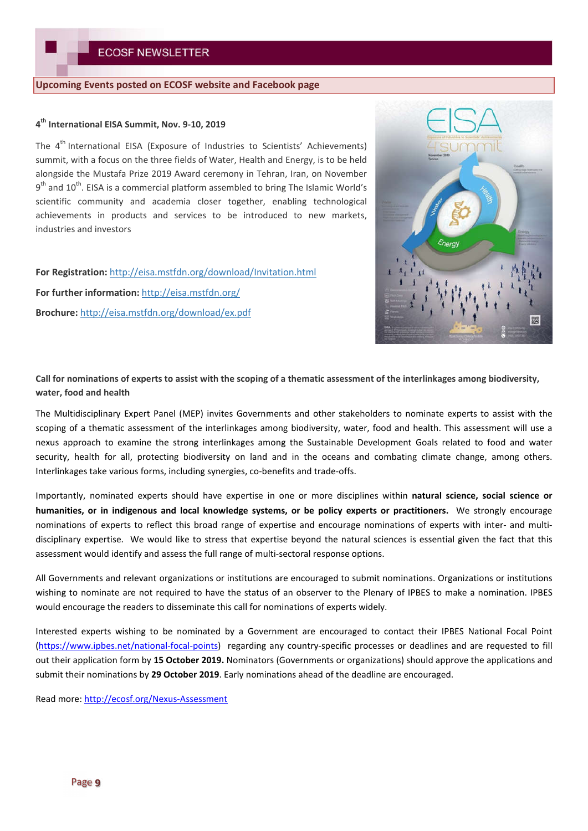### **Upcoming Events posted on ECOSF website and Facebook page**

### **4 th International EISA Summit, Nov. 9-10, 2019**

The 4<sup>th</sup> International EISA (Exposure of Industries to Scientists' Achievements) summit, with a focus on the three fields of Water, Health and Energy, is to be held alongside the Mustafa Prize 2019 Award ceremony in Tehran, Iran, on November 9<sup>th</sup> and 10<sup>th</sup>. EISA is a commercial platform assembled to bring The Islamic World's scientific community and academia closer together, enabling technological achievements in products and services to be introduced to new markets, industries and investors

**For Registration:** http://eisa.mstfdn.org/download/Invitation.html **For further information:** http://eisa.mstfdn.org/ **Brochure:** http://eisa.mstfdn.org/download/ex.pdf



**Call for nominations of experts to assist with the scoping of a thematic assessment of the interlinkages among biodiversity, water, food and health**

The Multidisciplinary Expert Panel (MEP) invites Governments and other stakeholders to nominate experts to assist with the scoping of a thematic assessment of the interlinkages among biodiversity, water, food and health. This assessment will use a nexus approach to examine the strong interlinkages among the Sustainable Development Goals related to food and water security, health for all, protecting biodiversity on land and in the oceans and combating climate change, among others. Interlinkages take various forms, including synergies, co-benefits and trade-offs.

Importantly, nominated experts should have expertise in one or more disciplines within **natural science, social science or humanities, or in indigenous and local knowledge systems, or be policy experts or practitioners.** We strongly encourage nominations of experts to reflect this broad range of expertise and encourage nominations of experts with inter- and multidisciplinary expertise. We would like to stress that expertise beyond the natural sciences is essential given the fact that this assessment would identify and assess the full range of multi-sectoral response options.

All Governments and relevant organizations or institutions are encouraged to submit nominations. Organizations or institutions wishing to nominate are not required to have the status of an observer to the Plenary of IPBES to make a nomination. IPBES would encourage the readers to disseminate this call for nominations of experts widely.

Interested experts wishing to be nominated by a Government are encouraged to contact their IPBES National Focal Point (https://www.ipbes.net/national-focal-points) regarding any country-specific processes or deadlines and are requested to fill out their application form by **15 October 2019.** Nominators (Governments or organizations) should approve the applications and submit their nominations by **29 October 2019**. Early nominations ahead of the deadline are encouraged.

Read more: http://ecosf.org/Nexus-Assessment